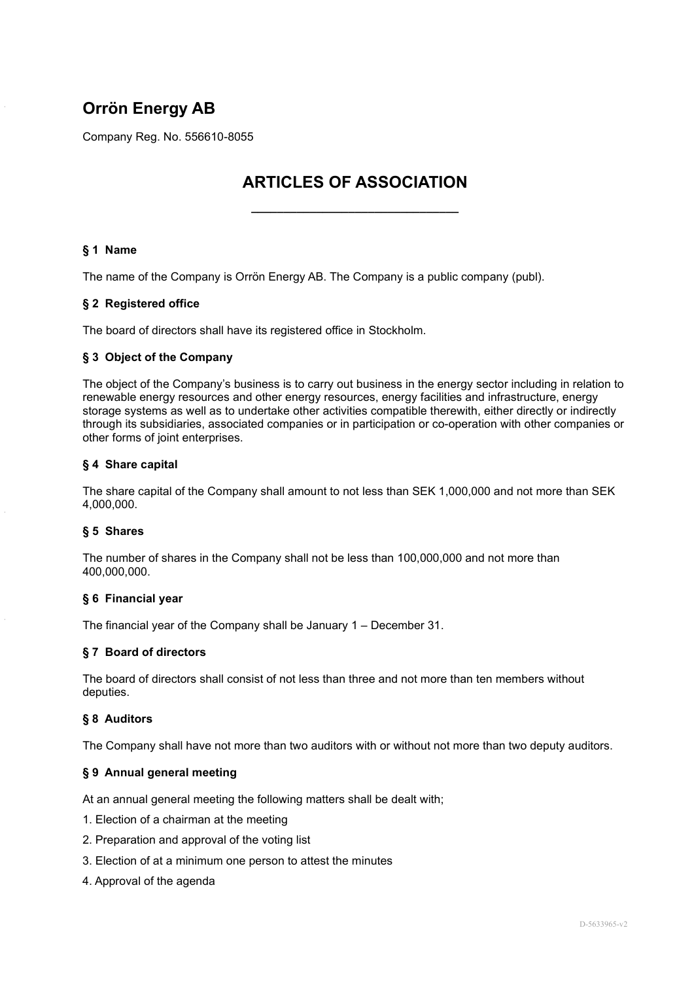# **Orrön Energy AB**

Company Reg. No. 556610-8055

# **ARTICLES OF ASSOCIATION**

**\_\_\_\_\_\_\_\_\_\_\_\_\_\_\_\_\_\_\_\_\_\_\_\_\_\_\_\_\_\_\_\_**

# **§ 1 Name**

The name of the Company is Orrön Energy AB. The Company is a public company (publ).

## **§ 2 Registered office**

The board of directors shall have its registered office in Stockholm.

## **§ 3 Object of the Company**

The object of the Company's business is to carry out business in the energy sector including in relation to renewable energy resources and other energy resources, energy facilities and infrastructure, energy storage systems as well as to undertake other activities compatible therewith, either directly or indirectly through its subsidiaries, associated companies or in participation or co-operation with other companies or other forms of joint enterprises.

## **§ 4 Share capital**

The share capital of the Company shall amount to not less than SEK 1,000,000 and not more than SEK 4,000,000.

## **§ 5 Shares**

The number of shares in the Company shall not be less than 100,000,000 and not more than 400,000,000.

## **§ 6 Financial year**

The financial year of the Company shall be January 1 – December 31.

## **§ 7 Board of directors**

The board of directors shall consist of not less than three and not more than ten members without deputies.

## **§ 8 Auditors**

The Company shall have not more than two auditors with or without not more than two deputy auditors.

## **§ 9 Annual general meeting**

At an annual general meeting the following matters shall be dealt with;

- 1. Election of a chairman at the meeting
- 2. Preparation and approval of the voting list
- 3. Election of at a minimum one person to attest the minutes
- 4. Approval of the agenda